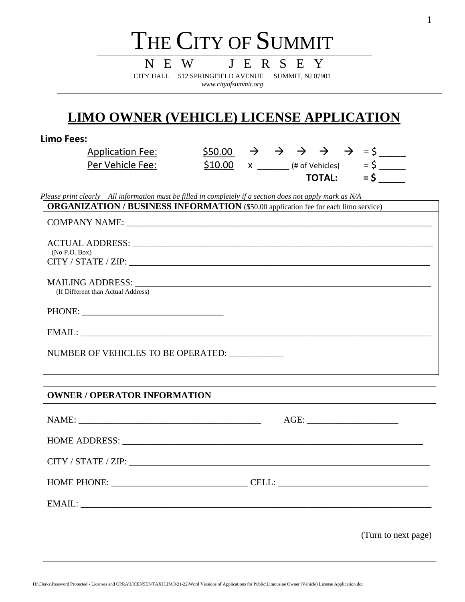# THE CITY OF SUMMIT

N E W J E R S E Y CITY HALL 512 SPRINGFIELD AVENUE SUMMIT, NJ 07901 *www.cityofsummit.org*

# **LIMO OWNER (VEHICLE) LICENSE APPLICATION**

| Limo Fees:                                                                                                                                                                                                                                                           |  |               |                                                                                                                        |
|----------------------------------------------------------------------------------------------------------------------------------------------------------------------------------------------------------------------------------------------------------------------|--|---------------|------------------------------------------------------------------------------------------------------------------------|
| <b>Application Fee:</b>                                                                                                                                                                                                                                              |  |               | $\frac{$50.00}{$10.00}$ $\rightarrow$ $\rightarrow$ $\rightarrow$ $\rightarrow$ $\rightarrow$ $\rightarrow$ = \$ _____ |
| Per Vehicle Fee:                                                                                                                                                                                                                                                     |  |               |                                                                                                                        |
|                                                                                                                                                                                                                                                                      |  | <b>TOTAL:</b> | $=$ \$                                                                                                                 |
| Please print clearly All information must be filled in completely if a section does not apply mark as N/A                                                                                                                                                            |  |               |                                                                                                                        |
| <b>ORGANIZATION / BUSINESS INFORMATION</b> (\$50.00 application fee for each limo service)                                                                                                                                                                           |  |               |                                                                                                                        |
|                                                                                                                                                                                                                                                                      |  |               |                                                                                                                        |
|                                                                                                                                                                                                                                                                      |  |               |                                                                                                                        |
|                                                                                                                                                                                                                                                                      |  |               |                                                                                                                        |
| (No P.O. Box)                                                                                                                                                                                                                                                        |  |               |                                                                                                                        |
|                                                                                                                                                                                                                                                                      |  |               |                                                                                                                        |
|                                                                                                                                                                                                                                                                      |  |               |                                                                                                                        |
| MAILING ADDRESS: Laterature and the contract of the contract of the contract of the contract of the contract of the contract of the contract of the contract of the contract of the contract of the contract of the contract o<br>(If Different than Actual Address) |  |               |                                                                                                                        |
|                                                                                                                                                                                                                                                                      |  |               |                                                                                                                        |
|                                                                                                                                                                                                                                                                      |  |               |                                                                                                                        |
|                                                                                                                                                                                                                                                                      |  |               |                                                                                                                        |
| EMAIL: University of the contract of the contract of the contract of the contract of the contract of the contract of the contract of the contract of the contract of the contract of the contract of the contract of the contr                                       |  |               |                                                                                                                        |
|                                                                                                                                                                                                                                                                      |  |               |                                                                                                                        |
| NUMBER OF VEHICLES TO BE OPERATED:                                                                                                                                                                                                                                   |  |               |                                                                                                                        |
|                                                                                                                                                                                                                                                                      |  |               |                                                                                                                        |

| <b>OWNER / OPERATOR INFORMATION</b> |                     |
|-------------------------------------|---------------------|
|                                     |                     |
|                                     |                     |
|                                     |                     |
| HOME PHONE: CELL:                   |                     |
|                                     |                     |
|                                     | (Turn to next page) |

H:\Clerks\Password Protected - Licenses and OPRA\LICENSES\TAXI LIMO\21-22\Word Versions of Applications for Public\Limousine Owner (Vehicle) License Application.doc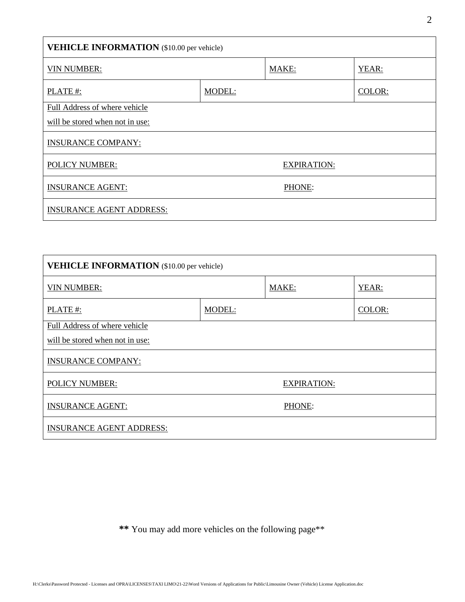| <b>VEHICLE INFORMATION</b> (\$10.00 per vehicle) |        |                    |        |
|--------------------------------------------------|--------|--------------------|--------|
| <b>VIN NUMBER:</b>                               |        | MAKE:              | YEAR:  |
| PLATE#:                                          | MODEL: |                    | COLOR: |
| Full Address of where vehicle                    |        |                    |        |
| will be stored when not in use:                  |        |                    |        |
| <b>INSURANCE COMPANY:</b>                        |        |                    |        |
| <b>POLICY NUMBER:</b>                            |        | <b>EXPIRATION:</b> |        |
| <b>INSURANCE AGENT:</b>                          |        | PHONE:             |        |
| <b>INSURANCE AGENT ADDRESS:</b>                  |        |                    |        |

| <b>VEHICLE INFORMATION</b> (\$10.00 per vehicle) |        |                    |        |
|--------------------------------------------------|--------|--------------------|--------|
| <b>VIN NUMBER:</b>                               |        | MAKE:              | YEAR:  |
| PLATE#:                                          | MODEL: |                    | COLOR: |
| Full Address of where vehicle                    |        |                    |        |
| will be stored when not in use:                  |        |                    |        |
| <b>INSURANCE COMPANY:</b>                        |        |                    |        |
| <b>POLICY NUMBER:</b>                            |        | <b>EXPIRATION:</b> |        |
| <b>INSURANCE AGENT:</b>                          |        | PHONE:             |        |
| <b>INSURANCE AGENT ADDRESS:</b>                  |        |                    |        |

**\*\*** You may add more vehicles on the following page\*\*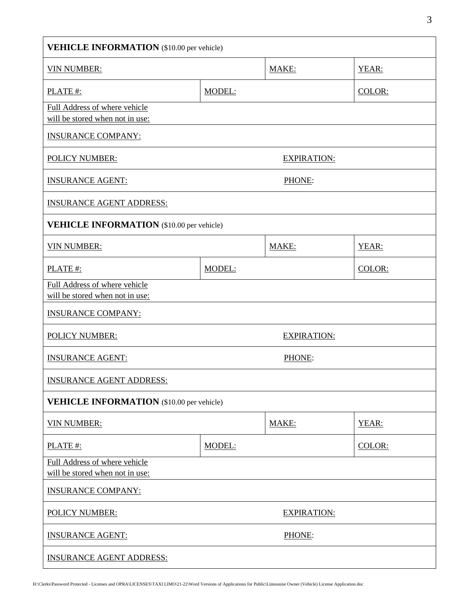| <b>VEHICLE INFORMATION</b> (\$10.00 per vehicle)                 |        |                    |        |
|------------------------------------------------------------------|--------|--------------------|--------|
| <b>VIN NUMBER:</b>                                               |        | MAKE:              | YEAR:  |
| PLATE #:                                                         | MODEL: |                    | COLOR: |
| Full Address of where vehicle<br>will be stored when not in use: |        |                    |        |
| <b>INSURANCE COMPANY:</b>                                        |        |                    |        |
| <b>POLICY NUMBER:</b>                                            |        | <b>EXPIRATION:</b> |        |
| <b>INSURANCE AGENT:</b>                                          | PHONE: |                    |        |
| <b>INSURANCE AGENT ADDRESS:</b>                                  |        |                    |        |
| <b>VEHICLE INFORMATION</b> (\$10.00 per vehicle)                 |        |                    |        |
| <b>VIN NUMBER:</b>                                               |        | MAKE:              | YEAR:  |
| PLATE #:                                                         | MODEL: |                    | COLOR: |
| Full Address of where vehicle<br>will be stored when not in use: |        |                    |        |
| <b>INSURANCE COMPANY:</b>                                        |        |                    |        |
| <b>POLICY NUMBER:</b>                                            |        | <b>EXPIRATION:</b> |        |
| <b>INSURANCE AGENT:</b>                                          | PHONE: |                    |        |
| <b>INSURANCE AGENT ADDRESS:</b>                                  |        |                    |        |
| <b>VEHICLE INFORMATION</b> (\$10.00 per vehicle)                 |        |                    |        |
| <b>VIN NUMBER:</b>                                               |        | MAKE:              | YEAR:  |
| PLATE #:                                                         | MODEL: |                    | COLOR: |
| Full Address of where vehicle<br>will be stored when not in use: |        |                    |        |
| <b>INSURANCE COMPANY:</b>                                        |        |                    |        |
| <b>POLICY NUMBER:</b>                                            |        | <b>EXPIRATION:</b> |        |
| <b>INSURANCE AGENT:</b>                                          |        | PHONE:             |        |
| <b>INSURANCE AGENT ADDRESS:</b>                                  |        |                    |        |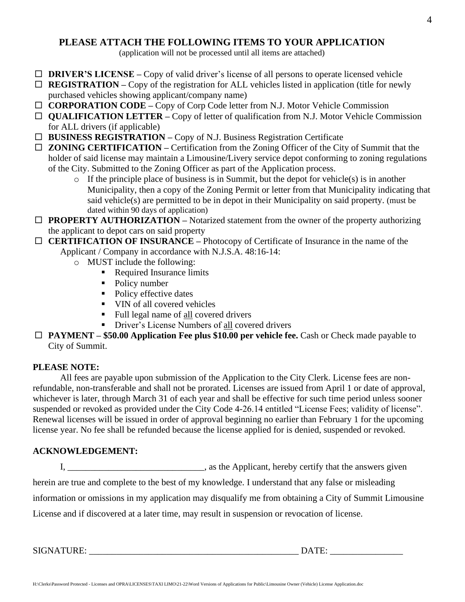# **PLEASE ATTACH THE FOLLOWING ITEMS TO YOUR APPLICATION**

(application will not be processed until all items are attached)

- □ **DRIVER'S LICENSE** Copy of valid driver's license of all persons to operate licensed vehicle
- $\Box$  **REGISTRATION** Copy of the registration for ALL vehicles listed in application (title for newly purchased vehicles showing applicant/company name)
- **CORPORATION CODE –** Copy of Corp Code letter from N.J. Motor Vehicle Commission
- **QUALIFICATION LETTER –** Copy of letter of qualification from N.J. Motor Vehicle Commission for ALL drivers (if applicable)
- □ **BUSINESS REGISTRATION** Copy of N.J. Business Registration Certificate
- **ZONING CERTIFICATION –** Certification from the Zoning Officer of the City of Summit that the holder of said license may maintain a Limousine/Livery service depot conforming to zoning regulations of the City. Submitted to the Zoning Officer as part of the Application process.
	- o If the principle place of business is in Summit, but the depot for vehicle(s) is in another Municipality, then a copy of the Zoning Permit or letter from that Municipality indicating that said vehicle(s) are permitted to be in depot in their Municipality on said property. (must be dated within 90 days of application)
- □ **PROPERTY AUTHORIZATION** Notarized statement from the owner of the property authorizing the applicant to depot cars on said property
- **CERTIFICATION OF INSURANCE –** Photocopy of Certificate of Insurance in the name of the Applicant / Company in accordance with N.J.S.A. 48:16-14:
	- o MUST include the following:
		- Required Insurance limits
		- Policy number
		- Policy effective dates
		- VIN of all covered vehicles
		- Full legal name of all covered drivers
		- **•** Driver's License Numbers of all covered drivers
- □ **PAYMENT** \$50.00 Application Fee plus \$10.00 per vehicle fee. Cash or Check made payable to City of Summit.

# **PLEASE NOTE:**

All fees are payable upon submission of the Application to the City Clerk. License fees are nonrefundable, non-transferable and shall not be prorated. Licenses are issued from April 1 or date of approval, whichever is later, through March 31 of each year and shall be effective for such time period unless sooner suspended or revoked as provided under the City Code 4-26.14 entitled "License Fees; validity of license". Renewal licenses will be issued in order of approval beginning no earlier than February 1 for the upcoming license year. No fee shall be refunded because the license applied for is denied, suspended or revoked.

# **ACKNOWLEDGEMENT:**

I, \_\_\_\_\_\_\_\_\_\_\_\_\_\_\_\_\_\_\_\_\_\_\_\_\_\_\_\_\_\_\_, as the Applicant, hereby certify that the answers given

herein are true and complete to the best of my knowledge. I understand that any false or misleading

information or omissions in my application may disqualify me from obtaining a City of Summit Limousine

License and if discovered at a later time, may result in suspension or revocation of license.

SIGNATURE: \_\_\_\_\_\_\_\_\_\_\_\_\_\_\_\_\_\_\_\_\_\_\_\_\_\_\_\_\_\_\_\_\_\_\_\_\_\_\_\_\_\_\_\_\_\_ DATE: \_\_\_\_\_\_\_\_\_\_\_\_\_\_\_\_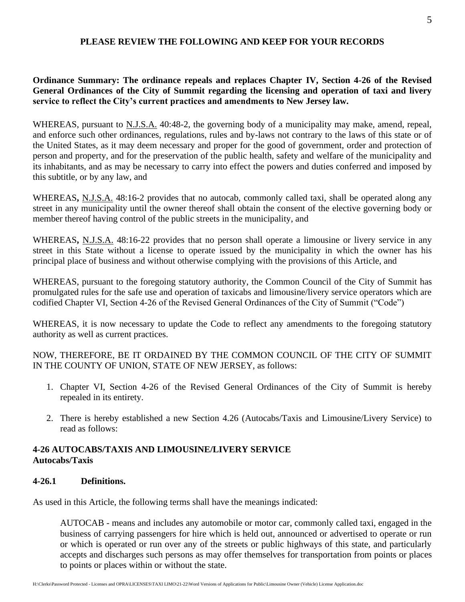#### **PLEASE REVIEW THE FOLLOWING AND KEEP FOR YOUR RECORDS**

# **Ordinance Summary: The ordinance repeals and replaces Chapter IV, Section 4-26 of the Revised General Ordinances of the City of Summit regarding the licensing and operation of taxi and livery service to reflect the City's current practices and amendments to New Jersey law.**

WHEREAS, pursuant to N.J.S.A. 40:48-2, the governing body of a municipality may make, amend, repeal, and enforce such other ordinances, regulations, rules and by-laws not contrary to the laws of this state or of the United States, as it may deem necessary and proper for the good of government, order and protection of person and property, and for the preservation of the public health, safety and welfare of the municipality and its inhabitants, and as may be necessary to carry into effect the powers and duties conferred and imposed by this subtitle, or by any law, and

WHEREAS**,** N.J.S.A. 48:16-2 provides that no autocab, commonly called taxi, shall be operated along any street in any municipality until the owner thereof shall obtain the consent of the elective governing body or member thereof having control of the public streets in the municipality, and

WHEREAS**,** N.J.S.A. 48:16-22 provides that no person shall operate a limousine or livery service in any street in this State without a license to operate issued by the municipality in which the owner has his principal place of business and without otherwise complying with the provisions of this Article, and

WHEREAS, pursuant to the foregoing statutory authority, the Common Council of the City of Summit has promulgated rules for the safe use and operation of taxicabs and limousine/livery service operators which are codified Chapter VI, Section 4-26 of the Revised General Ordinances of the City of Summit ("Code")

WHEREAS, it is now necessary to update the Code to reflect any amendments to the foregoing statutory authority as well as current practices.

# NOW, THEREFORE, BE IT ORDAINED BY THE COMMON COUNCIL OF THE CITY OF SUMMIT IN THE COUNTY OF UNION, STATE OF NEW JERSEY, as follows:

- 1. Chapter VI, Section 4-26 of the Revised General Ordinances of the City of Summit is hereby repealed in its entirety.
- 2. There is hereby established a new Section 4.26 (Autocabs/Taxis and Limousine/Livery Service) to read as follows:

# **4-26 AUTOCABS/TAXIS AND LIMOUSINE/LIVERY SERVICE Autocabs/Taxis**

# **4-26.1 Definitions.**

As used in this Article, the following terms shall have the meanings indicated:

AUTOCAB - means and includes any automobile or motor car, commonly called taxi, engaged in the business of carrying passengers for hire which is held out, announced or advertised to operate or run or which is operated or run over any of the streets or public highways of this state, and particularly accepts and discharges such persons as may offer themselves for transportation from points or places to points or places within or without the state.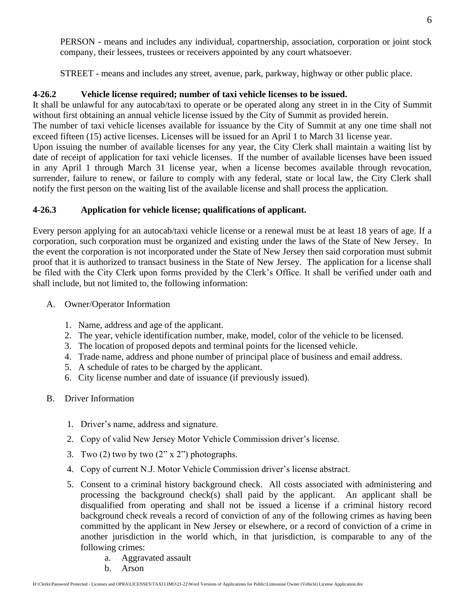PERSON - means and includes any individual, copartnership, association, corporation or joint stock company, their lessees, trustees or receivers appointed by any court whatsoever.

STREET - means and includes any street, avenue, park, parkway, highway or other public place.

# **4-26.2 Vehicle license required; number of taxi vehicle licenses to be issued.**

It shall be unlawful for any autocab/taxi to operate or be operated along any street in in the City of Summit without first obtaining an annual vehicle license issued by the City of Summit as provided herein. The number of taxi vehicle licenses available for issuance by the City of Summit at any one time shall not exceed fifteen (15) active licenses. Licenses will be issued for an April 1 to March 31 license year. Upon issuing the number of available licenses for any year, the City Clerk shall maintain a waiting list by date of receipt of application for taxi vehicle licenses. If the number of available licenses have been issued in any April 1 through March 31 license year, when a license becomes available through revocation, surrender, failure to renew, or failure to comply with any federal, state or local law, the City Clerk shall notify the first person on the waiting list of the available license and shall process the application.

# **4-26.3 Application for vehicle license; qualifications of applicant.**

Every person applying for an autocab/taxi vehicle license or a renewal must be at least 18 years of age. If a corporation, such corporation must be organized and existing under the laws of the State of New Jersey. In the event the corporation is not incorporated under the State of New Jersey then said corporation must submit proof that it is authorized to transact business in the State of New Jersey. The application for a license shall be filed with the City Clerk upon forms provided by the Clerk's Office. It shall be verified under oath and shall include, but not limited to, the following information:

- A. Owner/Operator Information
	- 1. Name, address and age of the applicant.
	- 2. The year, vehicle identification number, make, model, color of the vehicle to be licensed.
	- 3. The location of proposed depots and terminal points for the licensed vehicle.
	- 4. Trade name, address and phone number of principal place of business and email address.
	- 5. A schedule of rates to be charged by the applicant.
	- 6. City license number and date of issuance (if previously issued).
- B. Driver Information
	- 1. Driver's name, address and signature.
	- 2. Copy of valid New Jersey Motor Vehicle Commission driver's license.
	- 3. Two  $(2)$  two by two  $(2'' \times 2'')$  photographs.
	- 4. Copy of current N.J. Motor Vehicle Commission driver's license abstract.
	- 5. Consent to a criminal history background check. All costs associated with administering and processing the background check(s) shall paid by the applicant. An applicant shall be disqualified from operating and shall not be issued a license if a criminal history record background check reveals a record of conviction of any of the following crimes as having been committed by the applicant in New Jersey or elsewhere, or a record of conviction of a crime in another jurisdiction in the world which, in that jurisdiction, is comparable to any of the following crimes:
		- a. Aggravated assault
		- b. Arson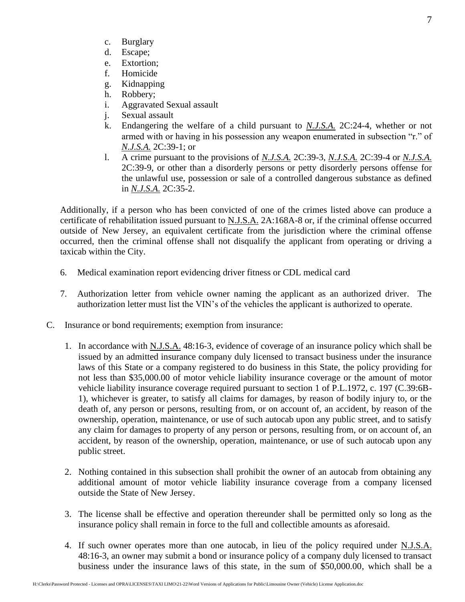- c. Burglary
- d. Escape;
- e. Extortion;
- f. Homicide
- g. Kidnapping
- h. Robbery;
- i. Aggravated Sexual assault
- j. Sexual assault
- k. Endangering the welfare of a child pursuant to *N.J.S.A.* 2C:24-4, whether or not armed with or having in his possession any weapon enumerated in subsection "r." of *N.J.S.A.* 2C:39-1; or
- l. A crime pursuant to the provisions of *N.J.S.A.* 2C:39-3, *N.J.S.A.* 2C:39-4 or *N.J.S.A.*  2C:39-9, or other than a disorderly persons or petty disorderly persons offense for the unlawful use, possession or sale of a controlled dangerous substance as defined in *N.J.S.A.* 2C:35-2.

Additionally, if a person who has been convicted of one of the crimes listed above can produce a certificate of rehabilitation issued pursuant to N.J.S.A. 2A:168A-8 or, if the criminal offense occurred outside of New Jersey, an equivalent certificate from the jurisdiction where the criminal offense occurred, then the criminal offense shall not disqualify the applicant from operating or driving a taxicab within the City.

- 6. Medical examination report evidencing driver fitness or CDL medical card
- 7. Authorization letter from vehicle owner naming the applicant as an authorized driver. The authorization letter must list the VIN's of the vehicles the applicant is authorized to operate.
- C. Insurance or bond requirements; exemption from insurance:
	- 1. In accordance with N.J.S.A. 48:16-3, evidence of coverage of an insurance policy which shall be issued by an admitted insurance company duly licensed to transact business under the insurance laws of this State or a company registered to do business in this State, the policy providing for not less than \$35,000.00 of motor vehicle liability insurance coverage or the amount of motor vehicle liability insurance coverage required pursuant to section 1 of P.L.1972, c. 197 (C.39:6B-1), whichever is greater, to satisfy all claims for damages, by reason of bodily injury to, or the death of, any person or persons, resulting from, or on account of, an accident, by reason of the ownership, operation, maintenance, or use of such autocab upon any public street, and to satisfy any claim for damages to property of any person or persons, resulting from, or on account of, an accident, by reason of the ownership, operation, maintenance, or use of such autocab upon any public street.
	- 2. Nothing contained in this subsection shall prohibit the owner of an autocab from obtaining any additional amount of motor vehicle liability insurance coverage from a company licensed outside the State of New Jersey.
	- 3. The license shall be effective and operation thereunder shall be permitted only so long as the insurance policy shall remain in force to the full and collectible amounts as aforesaid.
	- 4. If such owner operates more than one autocab, in lieu of the policy required under N.J.S.A. 48:16-3, an owner may submit a bond or insurance policy of a company duly licensed to transact business under the insurance laws of this state, in the sum of \$50,000.00, which shall be a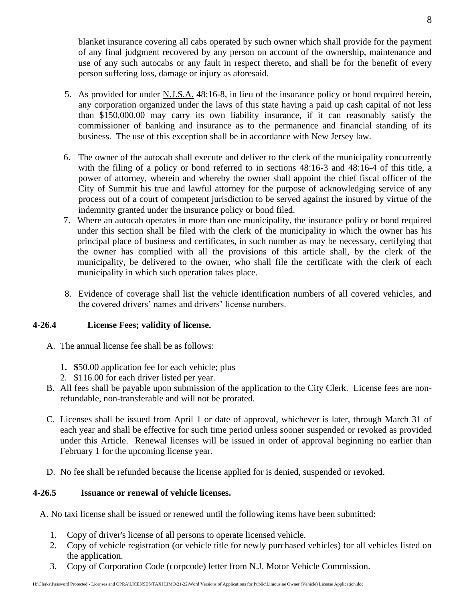blanket insurance covering all cabs operated by such owner which shall provide for the payment of any final judgment recovered by any person on account of the ownership, maintenance and use of any such autocabs or any fault in respect thereto, and shall be for the benefit of every person suffering loss, damage or injury as aforesaid.

- 5. As provided for under N.J.S.A. 48:16-8, in lieu of the insurance policy or bond required herein, any corporation organized under the laws of this state having a paid up cash capital of not less than \$150,000.00 may carry its own liability insurance, if it can reasonably satisfy the commissioner of banking and insurance as to the permanence and financial standing of its business. The use of this exception shall be in accordance with New Jersey law.
- 6. The owner of the autocab shall execute and deliver to the clerk of the municipality concurrently with the filing of a policy or bond referred to in sections 48:16-3 and 48:16-4 of this title, a power of attorney, wherein and whereby the owner shall appoint the chief fiscal officer of the City of Summit his true and lawful attorney for the purpose of acknowledging service of any process out of a court of competent jurisdiction to be served against the insured by virtue of the indemnity granted under the insurance policy or bond filed.
- 7. Where an autocab operates in more than one municipality, the insurance policy or bond required under this section shall be filed with the clerk of the municipality in which the owner has his principal place of business and certificates, in such number as may be necessary, certifying that the owner has complied with all the provisions of this article shall, by the clerk of the municipality, be delivered to the owner, who shall file the certificate with the clerk of each municipality in which such operation takes place.
- 8. Evidence of coverage shall list the vehicle identification numbers of all covered vehicles, and the covered drivers' names and drivers' license numbers.

#### **4-26.4 License Fees; validity of license.**

- A. The annual license fee shall be as follows:
	- 1**. \$**50.00 application fee for each vehicle; plus
	- 2. \$116.00 for each driver listed per year.
- B. All fees shall be payable upon submission of the application to the City Clerk. License fees are nonrefundable, non-transferable and will not be prorated.
- C. Licenses shall be issued from April 1 or date of approval, whichever is later, through March 31 of each year and shall be effective for such time period unless sooner suspended or revoked as provided under this Article. Renewal licenses will be issued in order of approval beginning no earlier than February 1 for the upcoming license year.
- D. No fee shall be refunded because the license applied for is denied, suspended or revoked.

#### **4-26.5 Issuance or renewal of vehicle licenses.**

A. No taxi license shall be issued or renewed until the following items have been submitted:

- 1. Copy of driver's license of all persons to operate licensed vehicle.
- 2. Copy of vehicle registration (or vehicle title for newly purchased vehicles) for all vehicles listed on the application.
- 3. Copy of Corporation Code (corpcode) letter from N.J. Motor Vehicle Commission.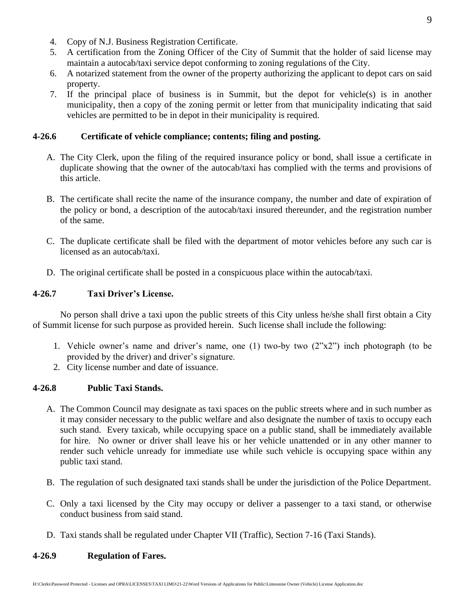- 4. Copy of N.J. Business Registration Certificate.
- 5. A certification from the Zoning Officer of the City of Summit that the holder of said license may maintain a autocab/taxi service depot conforming to zoning regulations of the City.
- 6. A notarized statement from the owner of the property authorizing the applicant to depot cars on said property.
- 7. If the principal place of business is in Summit, but the depot for vehicle(s) is in another municipality, then a copy of the zoning permit or letter from that municipality indicating that said vehicles are permitted to be in depot in their municipality is required.

#### **4-26.6 Certificate of vehicle compliance; contents; filing and posting.**

- A. The City Clerk, upon the filing of the required insurance policy or bond, shall issue a certificate in duplicate showing that the owner of the autocab/taxi has complied with the terms and provisions of this article.
- B. The certificate shall recite the name of the insurance company, the number and date of expiration of the policy or bond, a description of the autocab/taxi insured thereunder, and the registration number of the same.
- C. The duplicate certificate shall be filed with the department of motor vehicles before any such car is licensed as an autocab/taxi.
- D. The original certificate shall be posted in a conspicuous place within the autocab/taxi.

#### **4-26.7 Taxi Driver's License.**

No person shall drive a taxi upon the public streets of this City unless he/she shall first obtain a City of Summit license for such purpose as provided herein. Such license shall include the following:

- 1. Vehicle owner's name and driver's name, one (1) two-by two (2"x2") inch photograph (to be provided by the driver) and driver's signature.
- 2. City license number and date of issuance.

#### **4-26.8 Public Taxi Stands.**

- A. The Common Council may designate as taxi spaces on the public streets where and in such number as it may consider necessary to the public welfare and also designate the number of taxis to occupy each such stand. Every taxicab, while occupying space on a public stand, shall be immediately available for hire. No owner or driver shall leave his or her vehicle unattended or in any other manner to render such vehicle unready for immediate use while such vehicle is occupying space within any public taxi stand.
- B. The regulation of such designated taxi stands shall be under the jurisdiction of the Police Department.
- C. Only a taxi licensed by the City may occupy or deliver a passenger to a taxi stand, or otherwise conduct business from said stand.
- D. Taxi stands shall be regulated under Chapter VII (Traffic), Section 7-16 (Taxi Stands).

#### **4-26.9 Regulation of Fares.**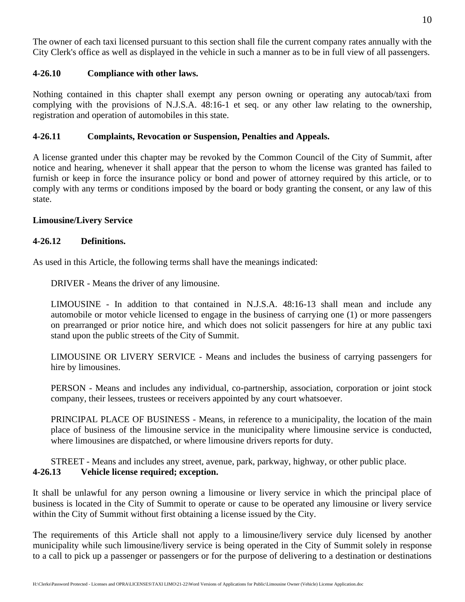The owner of each taxi licensed pursuant to this section shall file the current company rates annually with the City Clerk's office as well as displayed in the vehicle in such a manner as to be in full view of all passengers.

# **4-26.10 Compliance with other laws.**

Nothing contained in this chapter shall exempt any person owning or operating any autocab/taxi from complying with the provisions of N.J.S.A. 48:16-1 et seq. or any other law relating to the ownership, registration and operation of automobiles in this state.

# **4-26.11 Complaints, Revocation or Suspension, Penalties and Appeals.**

A license granted under this chapter may be revoked by the Common Council of the City of Summit, after notice and hearing, whenever it shall appear that the person to whom the license was granted has failed to furnish or keep in force the insurance policy or bond and power of attorney required by this article, or to comply with any terms or conditions imposed by the board or body granting the consent, or any law of this state.

# **Limousine/Livery Service**

#### **4-26.12 Definitions.**

As used in this Article, the following terms shall have the meanings indicated:

DRIVER - Means the driver of any limousine.

LIMOUSINE - In addition to that contained in N.J.S.A. 48:16-13 shall mean and include any automobile or motor vehicle licensed to engage in the business of carrying one (1) or more passengers on prearranged or prior notice hire, and which does not solicit passengers for hire at any public taxi stand upon the public streets of the City of Summit.

LIMOUSINE OR LIVERY SERVICE - Means and includes the business of carrying passengers for hire by limousines.

PERSON - Means and includes any individual, co-partnership, association, corporation or joint stock company, their lessees, trustees or receivers appointed by any court whatsoever.

PRINCIPAL PLACE OF BUSINESS - Means, in reference to a municipality, the location of the main place of business of the limousine service in the municipality where limousine service is conducted, where limousines are dispatched, or where limousine drivers reports for duty.

STREET - Means and includes any street, avenue, park, parkway, highway, or other public place. **4-26.13 Vehicle license required; exception.**

It shall be unlawful for any person owning a limousine or livery service in which the principal place of business is located in the City of Summit to operate or cause to be operated any limousine or livery service within the City of Summit without first obtaining a license issued by the City.

The requirements of this Article shall not apply to a limousine/livery service duly licensed by another municipality while such limousine/livery service is being operated in the City of Summit solely in response to a call to pick up a passenger or passengers or for the purpose of delivering to a destination or destinations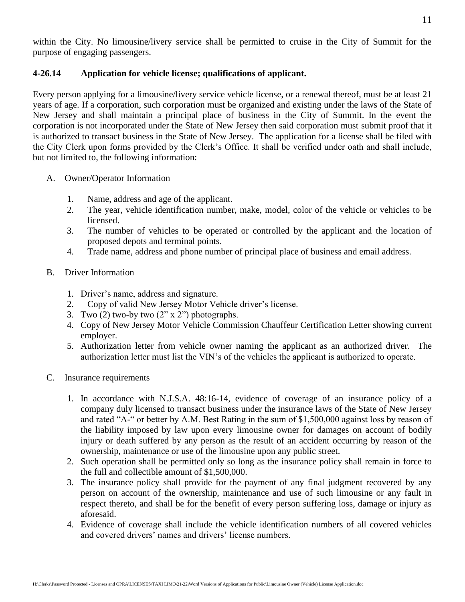# **4-26.14 Application for vehicle license; qualifications of applicant.**

Every person applying for a limousine/livery service vehicle license, or a renewal thereof, must be at least 21 years of age. If a corporation, such corporation must be organized and existing under the laws of the State of New Jersey and shall maintain a principal place of business in the City of Summit. In the event the corporation is not incorporated under the State of New Jersey then said corporation must submit proof that it is authorized to transact business in the State of New Jersey. The application for a license shall be filed with the City Clerk upon forms provided by the Clerk's Office. It shall be verified under oath and shall include, but not limited to, the following information:

- A. Owner/Operator Information
	- 1. Name, address and age of the applicant.
	- 2. The year, vehicle identification number, make, model, color of the vehicle or vehicles to be licensed.
	- 3. The number of vehicles to be operated or controlled by the applicant and the location of proposed depots and terminal points.
	- 4. Trade name, address and phone number of principal place of business and email address.
- B. Driver Information
	- 1. Driver's name, address and signature.
	- 2. Copy of valid New Jersey Motor Vehicle driver's license.
	- 3. Two  $(2)$  two-by two  $(2'' \times 2'')$  photographs.
	- 4. Copy of New Jersey Motor Vehicle Commission Chauffeur Certification Letter showing current employer.
	- 5. Authorization letter from vehicle owner naming the applicant as an authorized driver. The authorization letter must list the VIN's of the vehicles the applicant is authorized to operate.
- C. Insurance requirements
	- 1. In accordance with N.J.S.A. 48:16-14, evidence of coverage of an insurance policy of a company duly licensed to transact business under the insurance laws of the State of New Jersey and rated "A-" or better by A.M. Best Rating in the sum of \$1,500,000 against loss by reason of the liability imposed by law upon every limousine owner for damages on account of bodily injury or death suffered by any person as the result of an accident occurring by reason of the ownership, maintenance or use of the limousine upon any public street.
	- 2. Such operation shall be permitted only so long as the insurance policy shall remain in force to the full and collectible amount of \$1,500,000.
	- 3. The insurance policy shall provide for the payment of any final judgment recovered by any person on account of the ownership, maintenance and use of such limousine or any fault in respect thereto, and shall be for the benefit of every person suffering loss, damage or injury as aforesaid.
	- 4. Evidence of coverage shall include the vehicle identification numbers of all covered vehicles and covered drivers' names and drivers' license numbers.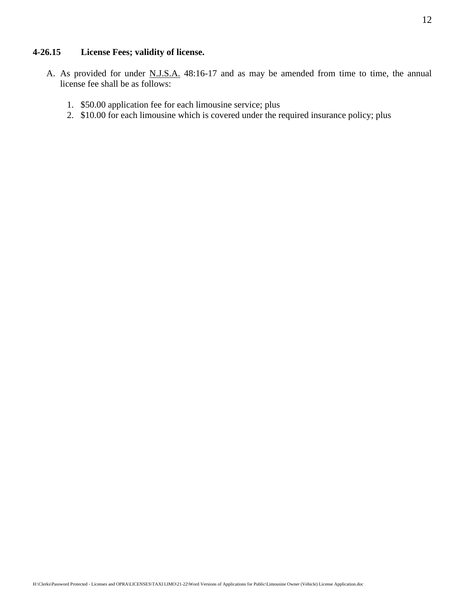#### **4-26.15 License Fees; validity of license.**

- A. As provided for under N.J.S.A. 48:16-17 and as may be amended from time to time, the annual license fee shall be as follows:
	- 1. \$50.00 application fee for each limousine service; plus
	- 2. \$10.00 for each limousine which is covered under the required insurance policy; plus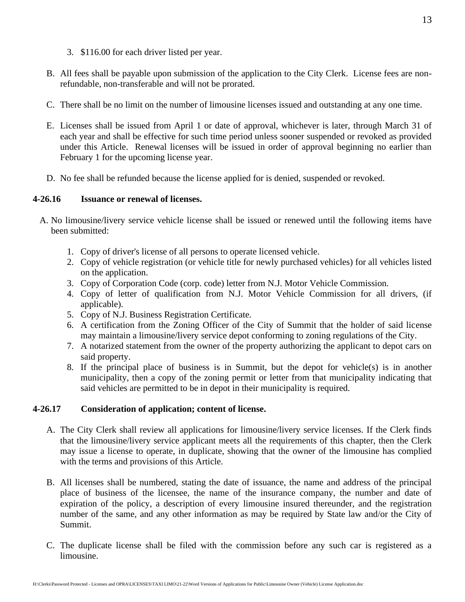- 3. \$116.00 for each driver listed per year.
- B. All fees shall be payable upon submission of the application to the City Clerk. License fees are nonrefundable, non-transferable and will not be prorated.
- C. There shall be no limit on the number of limousine licenses issued and outstanding at any one time.
- E. Licenses shall be issued from April 1 or date of approval, whichever is later, through March 31 of each year and shall be effective for such time period unless sooner suspended or revoked as provided under this Article. Renewal licenses will be issued in order of approval beginning no earlier than February 1 for the upcoming license year.
- D. No fee shall be refunded because the license applied for is denied, suspended or revoked.

# **4-26.16 Issuance or renewal of licenses.**

- A. No limousine/livery service vehicle license shall be issued or renewed until the following items have been submitted:
	- 1. Copy of driver's license of all persons to operate licensed vehicle.
	- 2. Copy of vehicle registration (or vehicle title for newly purchased vehicles) for all vehicles listed on the application.
	- 3. Copy of Corporation Code (corp. code) letter from N.J. Motor Vehicle Commission.
	- 4. Copy of letter of qualification from N.J. Motor Vehicle Commission for all drivers, (if applicable).
	- 5. Copy of N.J. Business Registration Certificate.
	- 6. A certification from the Zoning Officer of the City of Summit that the holder of said license may maintain a limousine/livery service depot conforming to zoning regulations of the City.
	- 7. A notarized statement from the owner of the property authorizing the applicant to depot cars on said property.
	- 8. If the principal place of business is in Summit, but the depot for vehicle(s) is in another municipality, then a copy of the zoning permit or letter from that municipality indicating that said vehicles are permitted to be in depot in their municipality is required.

# **4-26.17 Consideration of application; content of license.**

- A. The City Clerk shall review all applications for limousine/livery service licenses. If the Clerk finds that the limousine/livery service applicant meets all the requirements of this chapter, then the Clerk may issue a license to operate, in duplicate, showing that the owner of the limousine has complied with the terms and provisions of this Article.
- B. All licenses shall be numbered, stating the date of issuance, the name and address of the principal place of business of the licensee, the name of the insurance company, the number and date of expiration of the policy, a description of every limousine insured thereunder, and the registration number of the same, and any other information as may be required by State law and/or the City of Summit.
- C. The duplicate license shall be filed with the commission before any such car is registered as a limousine.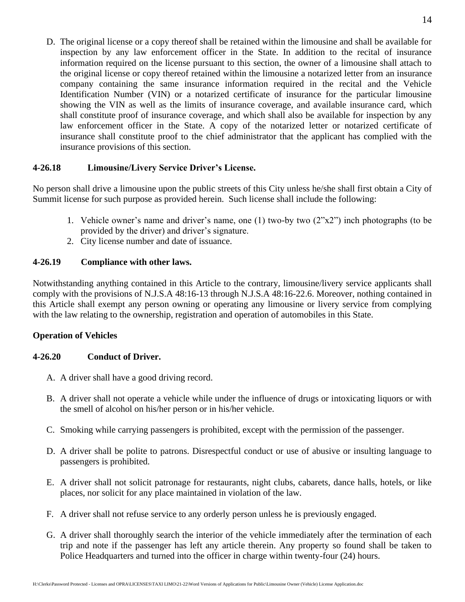D. The original license or a copy thereof shall be retained within the limousine and shall be available for inspection by any law enforcement officer in the State. In addition to the recital of insurance information required on the license pursuant to this section, the owner of a limousine shall attach to the original license or copy thereof retained within the limousine a notarized letter from an insurance company containing the same insurance information required in the recital and the Vehicle Identification Number (VIN) or a notarized certificate of insurance for the particular limousine showing the VIN as well as the limits of insurance coverage, and available insurance card, which shall constitute proof of insurance coverage, and which shall also be available for inspection by any law enforcement officer in the State. A copy of the notarized letter or notarized certificate of insurance shall constitute proof to the chief administrator that the applicant has complied with the insurance provisions of this section.

# **4-26.18 Limousine/Livery Service Driver's License.**

No person shall drive a limousine upon the public streets of this City unless he/she shall first obtain a City of Summit license for such purpose as provided herein. Such license shall include the following:

- 1. Vehicle owner's name and driver's name, one (1) two-by two (2"x2") inch photographs (to be provided by the driver) and driver's signature.
- 2. City license number and date of issuance.

#### **4-26.19 Compliance with other laws.**

Notwithstanding anything contained in this Article to the contrary, limousine/livery service applicants shall comply with the provisions of N.J.S.A 48:16-13 through N.J.S.A 48:16-22.6. Moreover, nothing contained in this Article shall exempt any person owning or operating any limousine or livery service from complying with the law relating to the ownership, registration and operation of automobiles in this State.

#### **Operation of Vehicles**

#### **4-26.20 Conduct of Driver.**

- A. A driver shall have a good driving record.
- B. A driver shall not operate a vehicle while under the influence of drugs or intoxicating liquors or with the smell of alcohol on his/her person or in his/her vehicle.
- C. Smoking while carrying passengers is prohibited, except with the permission of the passenger.
- D. A driver shall be polite to patrons. Disrespectful conduct or use of abusive or insulting language to passengers is prohibited.
- E. A driver shall not solicit patronage for restaurants, night clubs, cabarets, dance halls, hotels, or like places, nor solicit for any place maintained in violation of the law.
- F. A driver shall not refuse service to any orderly person unless he is previously engaged.
- G. A driver shall thoroughly search the interior of the vehicle immediately after the termination of each trip and note if the passenger has left any article therein. Any property so found shall be taken to Police Headquarters and turned into the officer in charge within twenty-four (24) hours.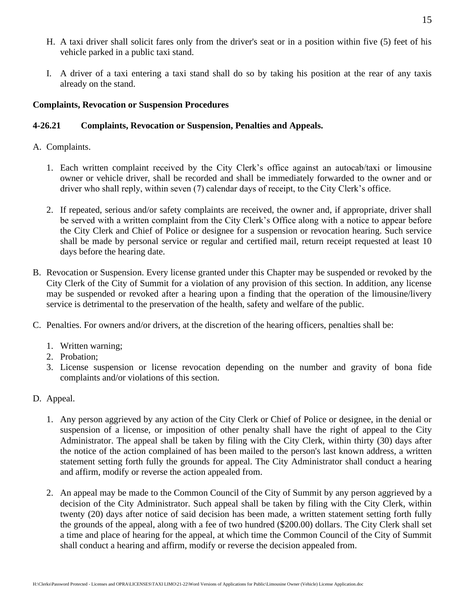- H. A taxi driver shall solicit fares only from the driver's seat or in a position within five (5) feet of his vehicle parked in a public taxi stand.
- I. A driver of a taxi entering a taxi stand shall do so by taking his position at the rear of any taxis already on the stand.

# **Complaints, Revocation or Suspension Procedures**

# **4-26.21 Complaints, Revocation or Suspension, Penalties and Appeals.**

- A. Complaints.
	- 1. Each written complaint received by the City Clerk's office against an autocab/taxi or limousine owner or vehicle driver, shall be recorded and shall be immediately forwarded to the owner and or driver who shall reply, within seven (7) calendar days of receipt, to the City Clerk's office.
	- 2. If repeated, serious and/or safety complaints are received, the owner and, if appropriate, driver shall be served with a written complaint from the City Clerk's Office along with a notice to appear before the City Clerk and Chief of Police or designee for a suspension or revocation hearing. Such service shall be made by personal service or regular and certified mail, return receipt requested at least 10 days before the hearing date.
- B. Revocation or Suspension. Every license granted under this Chapter may be suspended or revoked by the City Clerk of the City of Summit for a violation of any provision of this section. In addition, any license may be suspended or revoked after a hearing upon a finding that the operation of the limousine/livery service is detrimental to the preservation of the health, safety and welfare of the public.
- C. Penalties. For owners and/or drivers, at the discretion of the hearing officers, penalties shall be:
	- 1. Written warning;
	- 2. Probation;
	- 3. License suspension or license revocation depending on the number and gravity of bona fide complaints and/or violations of this section.
- D. Appeal.
	- 1. Any person aggrieved by any action of the City Clerk or Chief of Police or designee, in the denial or suspension of a license, or imposition of other penalty shall have the right of appeal to the City Administrator. The appeal shall be taken by filing with the City Clerk, within thirty (30) days after the notice of the action complained of has been mailed to the person's last known address, a written statement setting forth fully the grounds for appeal. The City Administrator shall conduct a hearing and affirm, modify or reverse the action appealed from.
	- 2. An appeal may be made to the Common Council of the City of Summit by any person aggrieved by a decision of the City Administrator. Such appeal shall be taken by filing with the City Clerk, within twenty (20) days after notice of said decision has been made, a written statement setting forth fully the grounds of the appeal, along with a fee of two hundred (\$200.00) dollars. The City Clerk shall set a time and place of hearing for the appeal, at which time the Common Council of the City of Summit shall conduct a hearing and affirm, modify or reverse the decision appealed from.